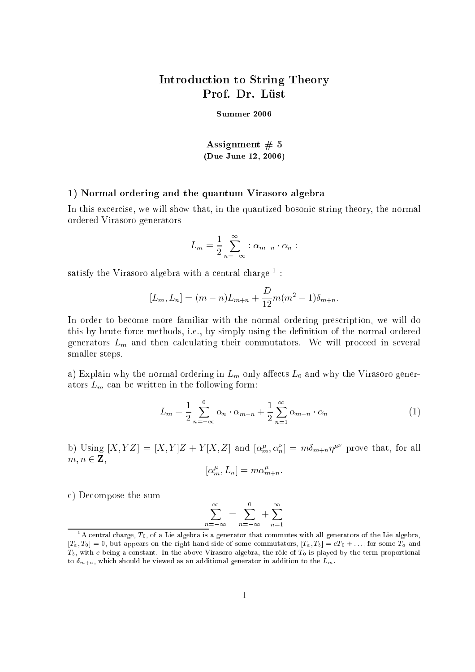## Introdu
tion to String Theory Prof. Dr. Lüst

Summer <sup>2006</sup>

Assignment  $# 5$ (Due June 12, 2006)

## 1) Normal ordering and the quantum Virasoro algebra

In this excercise, we will show that, in the quantized bosonic string theory, the normal ordered Virasoro generators

$$
L_m = \frac{1}{2} \sum_{n=-\infty}^{\infty} : \alpha_{m-n} \cdot \alpha_n :
$$

satisfy the virasoro algebra with a central charge  $\overline{\phantom{a}}$  :

$$
[L_m, L_n] = (m - n)L_{m+n} + \frac{D}{12}m(m^2 - 1)\delta_{m+n}.
$$

In order to become more familiar with the normal ordering prescription, we will do this by brute for
e methods, i.e., by simply using the denition of the normal ordered generators  $L_m$  and then calculating their commutators. We will proceed in several smaller steps.

a) Explain why the normal ordering in  $L_m$  only affects  $L_0$  and why the Virasoro generators  $L_m$  can be written in the following form:

$$
L_m = \frac{1}{2} \sum_{n=-\infty}^{0} \alpha_n \cdot \alpha_{m-n} + \frac{1}{2} \sum_{n=1}^{\infty} \alpha_{m-n} \cdot \alpha_n \tag{1}
$$

b) Using  $[X, Y] = [X, Y]Z + Y[X, Z]$  and  $[\alpha_m^r, \alpha_n^r] = m\alpha_{m+n}\eta^{r}$  prove that, for all  $m, n \in \mathbb{Z}$ ,  $[\alpha_m^r, L_n] = m \alpha_{m+n}^r$ .

) De
ompose the sum

$$
\sum_{n=-\infty}^{\infty} = \sum_{n=-\infty}^{0} + \sum_{n=1}^{\infty}
$$

A central charge,  $T_0$ , of a Lie algebra is a generator that commutes with all generators of the Lie algebra,  $[T_a, T_0] = 0$ , but appears on the right hand side of some commutators,  $[T_a, T_b] = cT_0 + \ldots$ , for some  $T_a$  and  $T_b$ , with c being a constant. In the above Virasoro algebra, the rôle of  $T_0$  is played by the term proportional to  $\delta_{m+n}$ , which should be viewed as an additional generator in addition to the  $L_m$ .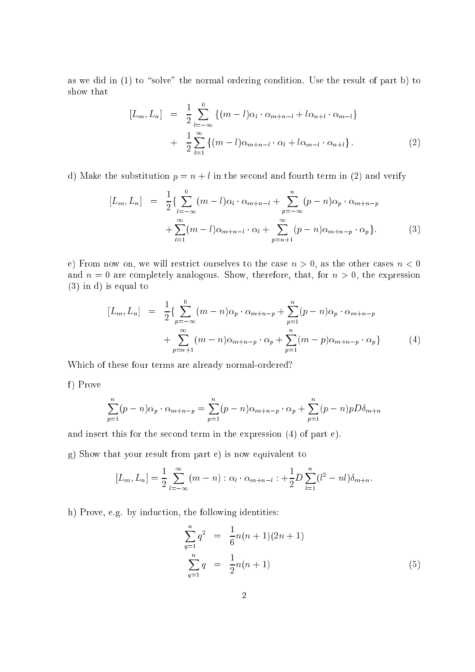as we did in  $(1)$  to "solve" the normal ordering condition. Use the result of part b) to show that

$$
[L_m, L_n] = \frac{1}{2} \sum_{l=-\infty}^{0} \{ (m-l)\alpha_l \cdot \alpha_{m+n-l} + l\alpha_{n+l} \cdot \alpha_{m-l} \} + \frac{1}{2} \sum_{l=1}^{\infty} \{ (m-l)\alpha_{m+n-l} \cdot \alpha_l + l\alpha_{m-l} \cdot \alpha_{n+l} \}.
$$
 (2)

d) Make the substitution  $p = n + l$  in the second and fourth term in (2) and verify

$$
[L_m, L_n] = \frac{1}{2} \{ \sum_{l=-\infty}^{0} (m-l)\alpha_l \cdot \alpha_{m+n-l} + \sum_{p=-\infty}^{n} (p-n)\alpha_p \cdot \alpha_{m+n-p} + \sum_{l=1}^{\infty} (m-l)\alpha_{m+n-l} \cdot \alpha_l + \sum_{p=n+1}^{\infty} (p-n)\alpha_{m+n-p} \cdot \alpha_p \}.
$$
 (3)

e) From now on, we will restrict ourselves to the case  $n > 0$ , as the other cases  $n < 0$ and  $n = 0$  are completely analogous. Show, therefore, that, for  $n > 0$ , the expression (3) in d) is equal to

$$
[L_m, L_n] = \frac{1}{2} \{ \sum_{p=-\infty}^{0} (m-n)\alpha_p \cdot \alpha_{m+n-p} + \sum_{p=1}^{n} (p-n)\alpha_p \cdot \alpha_{m+n-p} + \sum_{p=n+1}^{\infty} (m-n)\alpha_{m+n-p} \cdot \alpha_p + \sum_{p=1}^{n} (m-p)\alpha_{m+n-p} \cdot \alpha_p \}
$$
(4)

Whi
h of these four terms are already normal-ordered?

f) Prove

$$
\sum_{p=1}^{n} (p - n)\alpha_p \cdot \alpha_{m+n-p} = \sum_{p=1}^{n} (p - n)\alpha_{m+n-p} \cdot \alpha_p + \sum_{p=1}^{n} (p - n)pD\delta_{m+n}
$$

and insert this for the second term in the expression (4) of part e).

g) Show that your result from part e) is now equivalent to

$$
[L_m, L_n] = \frac{1}{2} \sum_{l=-\infty}^{\infty} (m-n) : \alpha_l \cdot \alpha_{m+n-l} : + \frac{1}{2} D \sum_{l=1}^{n} (l^2 - n l) \delta_{m+n}.
$$

h) Prove, e.g. by induction, the following identities:

$$
\sum_{q=1}^{n} q^{2} = \frac{1}{6}n(n+1)(2n+1)
$$
  

$$
\sum_{q=1}^{n} q = \frac{1}{2}n(n+1)
$$
 (5)